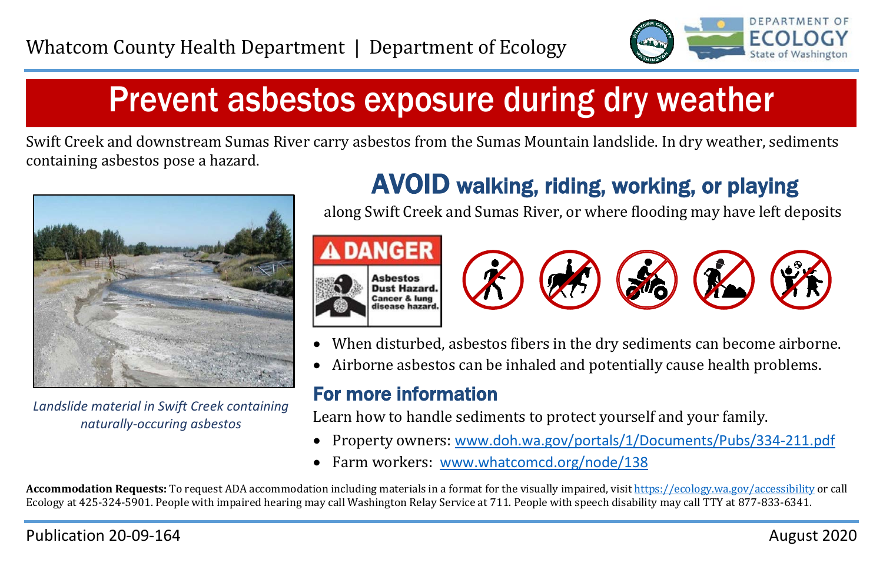

# Prevent asbestos exposure during dry weather

Swift Creek and downstream Sumas River carry asbestos from the Sumas Mountain landslide. In dry weather, sediments containing asbestos pose a hazard.



*Landslide material in Swift Creek containing naturally-occuring asbestos*

## AVOID walking, riding, working, or playing

along Swift Creek and Sumas River, or where flooding may have left deposits





- When disturbed, asbestos fibers in the dry sediments can become airborne.
- Airborne asbestos can be inhaled and potentially cause health problems.

### For more information

Learn how to handle sediments to protect yourself and your family.

- Property owners: [www.doh.wa.gov/portals/1/Documents/Pubs/334-211.pdf](http://www.doh.wa.gov/portals/1/Documents/Pubs/334-211.pdf)
- Farm workers: [www.whatcomcd.org/node/138](http://www.whatcomcd.org/node/138)

**Accommodation Requests:** To request ADA accommodation including materials in a format for the visually impaired, visi[t https://ecology.wa.gov/accessibility](https://ecology.wa.gov/accessibility) or call Ecology at 425-324-5901. People with impaired hearing may call Washington Relay Service at 711. People with speech disability may call TTY at 877-833-6341.